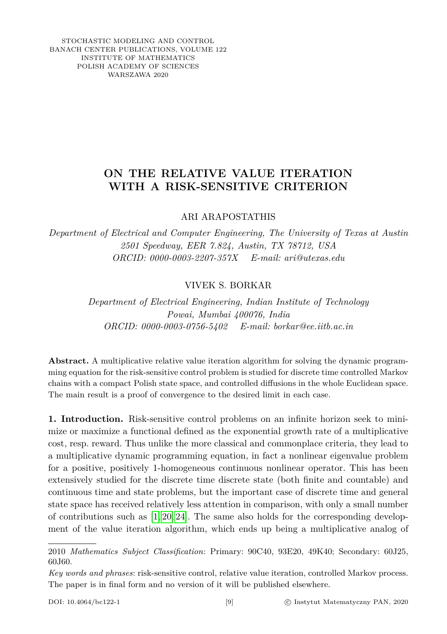STOCHASTIC MODELING AND CONTROL BANACH CENTER PUBLICATIONS, VOLUME 122 INSTITUTE OF MATHEMATICS POLISH ACADEMY OF SCIENCES WARSZAWA 2020

# **ON THE RELATIVE VALUE ITERATION WITH A RISK-SENSITIVE CRITERION**

ARI ARAPOSTATHIS

*Department of Electrical and Computer Engineering, The University of Texas at Austin 2501 Speedway, EER 7.824, Austin, TX 78712, USA ORCID: 0000-0003-2207-357X E-mail: ari@utexas.edu*

## VIVEK S. BORKAR

*Department of Electrical Engineering, Indian Institute of Technology Powai, Mumbai 400076, India ORCID: 0000-0003-0756-5402 E-mail: borkar@ee.iitb.ac.in*

**Abstract.** A multiplicative relative value iteration algorithm for solving the dynamic programming equation for the risk-sensitive control problem is studied for discrete time controlled Markov chains with a compact Polish state space, and controlled diffusions in the whole Euclidean space. The main result is a proof of convergence to the desired limit in each case.

**1. Introduction.** Risk-sensitive control problems on an infinite horizon seek to minimize or maximize a functional defined as the exponential growth rate of a multiplicative cost, resp. reward. Thus unlike the more classical and commonplace criteria, they lead to a multiplicative dynamic programming equation, in fact a nonlinear eigenvalue problem for a positive, positively 1-homogeneous continuous nonlinear operator. This has been extensively studied for the discrete time discrete state (both finite and countable) and continuous time and state problems, but the important case of discrete time and general state space has received relatively less attention in comparison, with only a small number of contributions such as  $[1, 20, 24]$  $[1, 20, 24]$  $[1, 20, 24]$ . The same also holds for the corresponding development of the value iteration algorithm, which ends up being a multiplicative analog of

2010 *Mathematics Subject Classification*: Primary: 90C40, 93E20, 49K40; Secondary: 60J25, 60J60.

*Key words and phrases*: risk-sensitive control, relative value iteration, controlled Markov process. The paper is in final form and no version of it will be published elsewhere.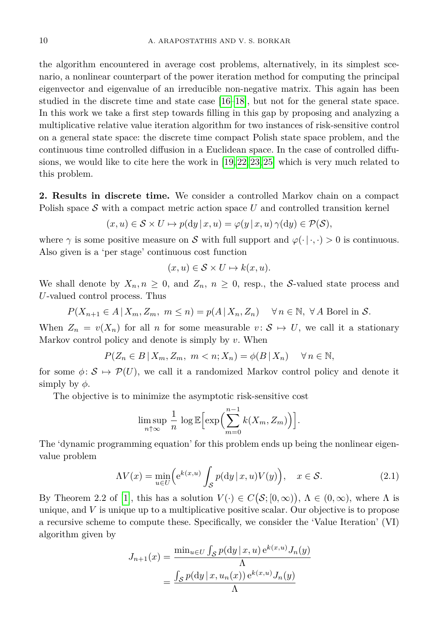the algorithm encountered in average cost problems, alternatively, in its simplest scenario, a nonlinear counterpart of the power iteration method for computing the principal eigenvector and eigenvalue of an irreducible non-negative matrix. This again has been studied in the discrete time and state case [\[16–](#page-14-2)[18\]](#page-14-3), but not for the general state space. In this work we take a first step towards filling in this gap by proposing and analyzing a multiplicative relative value iteration algorithm for two instances of risk-sensitive control on a general state space: the discrete time compact Polish state space problem, and the continuous time controlled diffusion in a Euclidean space. In the case of controlled diffusions, we would like to cite here the work in [\[19,](#page-14-4) [22,](#page-15-1) [23,](#page-15-2) [25\]](#page-15-3) which is very much related to this problem.

**2. Results in discrete time.** We consider a controlled Markov chain on a compact Polish space  $S$  with a compact metric action space  $U$  and controlled transition kernel

$$
(x, u) \in \mathcal{S} \times U \mapsto p(\mathrm{d}y \,|\, x, u) = \varphi(y \,|\, x, u) \,\gamma(\mathrm{d}y) \in \mathcal{P}(\mathcal{S}),
$$

where  $\gamma$  is some positive measure on S with full support and  $\varphi(\cdot|\cdot,\cdot) > 0$  is continuous. Also given is a 'per stage' continuous cost function

$$
(x, u) \in \mathcal{S} \times U \mapsto k(x, u).
$$

We shall denote by  $X_n, n \geq 0$ , and  $Z_n, n \geq 0$ , resp., the S-valued state process and *U*-valued control process. Thus

 $P(X_{n+1} \in A | X_m, Z_m, m \leq n) = p(A | X_n, Z_n) \quad \forall n \in \mathbb{N}, \forall A \text{ Borel in } S.$ 

When  $Z_n = v(X_n)$  for all *n* for some measurable  $v: \mathcal{S} \mapsto U$ , we call it a stationary Markov control policy and denote is simply by *v*. When

$$
P(Z_n \in B \mid X_m, Z_m, \ m < n; X_n) = \phi(B \mid X_n) \quad \forall n \in \mathbb{N},
$$

for some  $\phi: \mathcal{S} \mapsto \mathcal{P}(U)$ , we call it a randomized Markov control policy and denote it simply by  $\phi$ .

The objective is to minimize the asymptotic risk-sensitive cost

$$
\limsup_{n \uparrow \infty} \frac{1}{n} \log \mathbb{E} \Big[ \exp \Big( \sum_{m=0}^{n-1} k(X_m, Z_m) \Big) \Big].
$$

The 'dynamic programming equation' for this problem ends up being the nonlinear eigenvalue problem

<span id="page-1-0"></span>
$$
\Lambda V(x) = \min_{u \in U} \Big( e^{k(x,u)} \int_{\mathcal{S}} p(\mathrm{d}y \,|\, x, u) V(y) \Big), \quad x \in \mathcal{S}.
$$
 (2.1)

By Theorem 2.2 of [\[1\]](#page-14-0), this has a solution  $V(\cdot) \in C(\mathcal{S}; [0, \infty))$ ,  $\Lambda \in (0, \infty)$ , where  $\Lambda$  is unique, and *V* is unique up to a multiplicative positive scalar. Our objective is to propose a recursive scheme to compute these. Specifically, we consider the 'Value Iteration' (VI) algorithm given by

$$
J_{n+1}(x) = \frac{\min_{u \in U} \int_{\mathcal{S}} p(\mathrm{d}y | x, u) e^{k(x, u)} J_n(y)}{\Lambda}
$$

$$
= \frac{\int_{\mathcal{S}} p(\mathrm{d}y | x, u_n(x)) e^{k(x, u)} J_n(y)}{\Lambda}
$$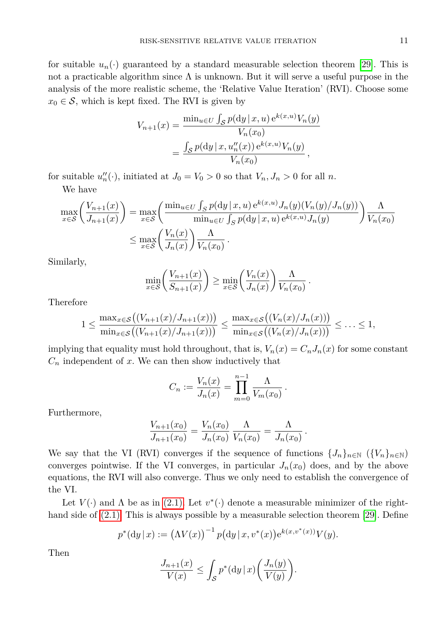for suitable  $u_n(\cdot)$  guaranteed by a standard measurable selection theorem [\[29\]](#page-15-4). This is not a practicable algorithm since  $\Lambda$  is unknown. But it will serve a useful purpose in the analysis of the more realistic scheme, the 'Relative Value Iteration' (RVI). Choose some  $x_0 \in \mathcal{S}$ , which is kept fixed. The RVI is given by

$$
V_{n+1}(x) = \frac{\min_{u \in U} \int_{S} p(\mathrm{d}y | x, u) e^{k(x, u)} V_{n}(y)}{V_{n}(x_{0})}
$$
  
= 
$$
\frac{\int_{S} p(\mathrm{d}y | x, u''_{n}(x)) e^{k(x, u)} V_{n}(y)}{V_{n}(x_{0})},
$$

for suitable  $u''_n(\cdot)$ , initiated at  $J_0 = V_0 > 0$  so that  $V_n, J_n > 0$  for all *n*.

We have

$$
\max_{x \in \mathcal{S}} \left( \frac{V_{n+1}(x)}{J_{n+1}(x)} \right) = \max_{x \in \mathcal{S}} \left( \frac{\min_{u \in U} \int_{S} p(\mathrm{d}y \mid x, u) e^{k(x, u)} J_{n}(y) (V_{n}(y) / J_{n}(y))}{\min_{u \in U} \int_{S} p(\mathrm{d}y \mid x, u) e^{k(x, u)} J_{n}(y)} \right) \frac{\Lambda}{V_{n}(x_{0})}
$$
\n
$$
\leq \max_{x \in \mathcal{S}} \left( \frac{V_{n}(x)}{J_{n}(x)} \right) \frac{\Lambda}{V_{n}(x_{0})}.
$$

Similarly,

$$
\min_{x \in \mathcal{S}} \left( \frac{V_{n+1}(x)}{S_{n+1}(x)} \right) \ge \min_{x \in \mathcal{S}} \left( \frac{V_n(x)}{J_n(x)} \right) \frac{\Lambda}{V_n(x_0)}.
$$

Therefore

$$
1 \leq \frac{\max_{x \in S} \big( (V_{n+1}(x)/J_{n+1}(x)) \big)}{\min_{x \in S} \big( (V_{n+1}(x)/J_{n+1}(x)) \big)} \leq \frac{\max_{x \in S} \big( (V_n(x)/J_n(x)) \big)}{\min_{x \in S} \big( (V_n(x)/J_n(x)) \big)} \leq \ldots \leq 1,
$$

implying that equality must hold throughout, that is,  $V_n(x) = C_n J_n(x)$  for some constant  $C_n$  independent of  $x$ . We can then show inductively that

$$
C_n := \frac{V_n(x)}{J_n(x)} = \prod_{m=0}^{n-1} \frac{\Lambda}{V_m(x_0)}.
$$

Furthermore,

$$
\frac{V_{n+1}(x_0)}{J_{n+1}(x_0)} = \frac{V_n(x_0)}{J_n(x_0)} \frac{\Lambda}{V_n(x_0)} = \frac{\Lambda}{J_n(x_0)}
$$

*.*

We say that the VI (RVI) converges if the sequence of functions  $\{J_n\}_{n\in\mathbb{N}}$  ( $\{V_n\}_{n\in\mathbb{N}}$ ) converges pointwise. If the VI converges, in particular  $J_n(x_0)$  does, and by the above equations, the RVI will also converge. Thus we only need to establish the convergence of the VI.

Let  $V(\cdot)$  and  $\Lambda$  be as in [\(2.1\).](#page-1-0) Let  $v^*(\cdot)$  denote a measurable minimizer of the righthand side of  $(2.1)$ . This is always possible by a measurable selection theorem [\[29\]](#page-15-4). Define

$$
p^*(\mathrm{d}y \,|\, x) := (\Lambda V(x))^{-1} \, p(\mathrm{d}y \,|\, x, v^*(x)) \mathrm{e}^{k(x, v^*(x))} V(y).
$$

Then

$$
\frac{J_{n+1}(x)}{V(x)} \le \int_{\mathcal{S}} p^*(\mathrm{d}y \,|\, x) \bigg(\frac{J_n(y)}{V(y)}\bigg).
$$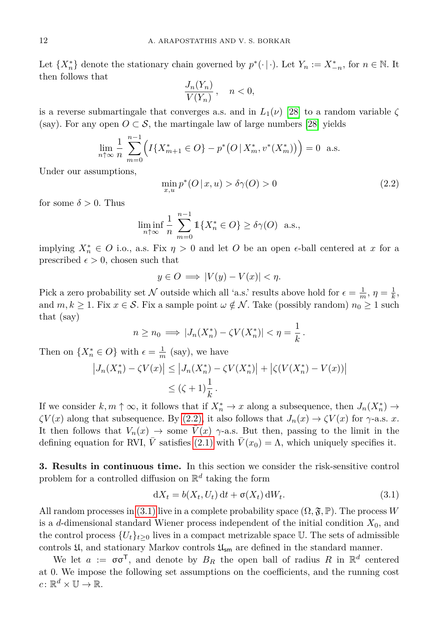Let  $\{X_n^*\}$  denote the stationary chain governed by  $p^*(\cdot | \cdot)$ . Let  $Y_n := X_{-n}^*$ , for  $n \in \mathbb{N}$ . It then follows that

$$
\frac{J_n(Y_n)}{V(Y_n)}, \quad n < 0,
$$

is a reverse submartingale that converges a.s. and in  $L_1(\nu)$  [\[28\]](#page-15-5) to a random variable  $\zeta$ (say). For any open  $O \subset \mathcal{S}$ , the martingale law of large numbers [\[28\]](#page-15-5) yields

$$
\lim_{n \uparrow \infty} \frac{1}{n} \sum_{m=0}^{n-1} \left( I\{X_{m+1}^* \in O\} - p^* \big( O \,|\, X_m^*, v^*(X_m^*) \big) \right) = 0 \text{ a.s.}
$$

Under our assumptions,

<span id="page-3-0"></span>
$$
\min_{x,u} p^*(O \mid x, u) > \delta \gamma(O) > 0 \tag{2.2}
$$

for some  $\delta > 0$ . Thus

$$
\liminf_{n \uparrow \infty} \frac{1}{n} \sum_{m=0}^{n-1} \mathbb{1}\{X_n^* \in O\} \ge \delta \gamma(O) \text{ a.s.},
$$

implying  $X_n^* \in O$  i.o., a.s. Fix  $\eta > 0$  and let *O* be an open  $\epsilon$ -ball centered at *x* for a prescribed  $\epsilon > 0$ , chosen such that

$$
y \in O \implies |V(y) - V(x)| < \eta.
$$

Pick a zero probability set N outside which all 'a.s.' results above hold for  $\epsilon = \frac{1}{m}$ ,  $\eta = \frac{1}{k}$ , and  $m, k \geq 1$ . Fix  $x \in \mathcal{S}$ . Fix a sample point  $\omega \notin \mathcal{N}$ . Take (possibly random)  $n_0 \geq 1$  such that (say)

$$
n \ge n_0 \implies |J_n(X_n^*) - \zeta V(X_n^*)| < \eta = \frac{1}{k} \, .
$$

Then on  $\{X_n^* \in O\}$  with  $\epsilon = \frac{1}{m}$  (say), we have

$$
\left|J_n(X_n^*) - \zeta V(x)\right| \le \left|J_n(X_n^*) - \zeta V(X_n^*)\right| + \left|\zeta(V(X_n^*) - V(x))\right|
$$
  

$$
\le (\zeta + 1)\frac{1}{k}.
$$

If we consider  $k, m \uparrow \infty$ , it follows that if  $X_n^* \to x$  along a subsequence, then  $J_n(X_n^*) \to$ *ζV*(*x*) along that subsequence. By [\(2.2\),](#page-3-0) it also follows that  $J_n(x) \to \zeta V(x)$  for  $\gamma$ -a.s. *x*. It then follows that  $V_n(x) \to$  some  $\bar{V}(x)$   $\gamma$ -a.s. But then, passing to the limit in the defining equation for RVI, *V* satisfies [\(2.1\)](#page-1-0) with  $V(x_0) = \Lambda$ , which uniquely specifies it.

**3. Results in continuous time.** In this section we consider the risk-sensitive control problem for a controlled diffusion on R *d* taking the form

<span id="page-3-1"></span>
$$
dX_t = b(X_t, U_t) dt + \sigma(X_t) dW_t.
$$
\n(3.1)

All random processes in [\(3.1\)](#page-3-1) live in a complete probability space  $(\Omega, \mathfrak{F}, \mathbb{P})$ . The process *W* is a *d*-dimensional standard Wiener process independent of the initial condition *X*0, and the control process  ${U_t}_{t\geq 0}$  lives in a compact metrizable space U. The sets of admissible controls  $\mathfrak{U}$ , and stationary Markov controls  $\mathfrak{U}_{sm}$  are defined in the standard manner.

<span id="page-3-2"></span>We let  $a := \sigma \sigma^T$ , and denote by  $B_R$  the open ball of radius R in  $\mathbb{R}^d$  centered at 0. We impose the following set assumptions on the coefficients, and the running cost  $c \colon \mathbb{R}^d \times \mathbb{U} \to \mathbb{R}$ .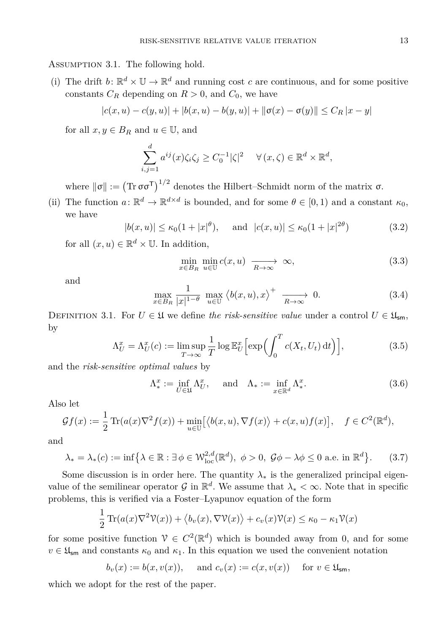Assumption 3.1. The following hold.

(i) The drift  $b: \mathbb{R}^d \times \mathbb{U} \to \mathbb{R}^d$  and running cost *c* are continuous, and for some positive constants  $C_R$  depending on  $R > 0$ , and  $C_0$ , we have

$$
|c(x, u) - c(y, u)| + |b(x, u) - b(y, u)| + ||\sigma(x) - \sigma(y)|| \le C_R |x - y|
$$

for all  $x, y \in B_R$  and  $u \in \mathbb{U}$ , and

$$
\sum_{i,j=1}^d a^{ij}(x)\zeta_i\zeta_j \ge C_0^{-1}|\zeta|^2 \quad \forall (x,\zeta) \in \mathbb{R}^d \times \mathbb{R}^d,
$$

where  $\|\sigma\| := (\text{Tr } \sigma \sigma^{\mathsf{T}})^{1/2}$  denotes the Hilbert–Schmidt norm of the matrix  $\sigma$ .

(ii) The function  $a: \mathbb{R}^d \to \mathbb{R}^{d \times d}$  is bounded, and for some  $\theta \in [0,1)$  and a constant  $\kappa_0$ , we have

<span id="page-4-1"></span>
$$
|b(x, u)| \le \kappa_0 (1 + |x|^\theta), \quad \text{and} \quad |c(x, u)| \le \kappa_0 (1 + |x|^{2\theta}) \tag{3.2}
$$

for all  $(x, u) \in \mathbb{R}^d \times \mathbb{U}$ . In addition,

<span id="page-4-2"></span>
$$
\min_{x \in B_R} \min_{u \in \mathbb{U}} c(x, u) \xrightarrow[R \to \infty]{} \infty,
$$
\n(3.3)

<span id="page-4-0"></span>and

$$
\max_{x \in B_R} \frac{1}{|x|^{1-\theta}} \max_{u \in \mathbb{U}} \left\langle b(x, u), x \right\rangle^+ \xrightarrow[R \to \infty]{} 0. \tag{3.4}
$$

<span id="page-4-4"></span>DEFINITION 3.1. For  $U \in \mathfrak{U}$  we define the risk-sensitive value under a control  $U \in \mathfrak{U}_{\mathsf{sm}}$ , by

$$
\Lambda_U^x = \Lambda_U^x(c) := \limsup_{T \to \infty} \frac{1}{T} \log \mathbb{E}_U^x \Big[ \exp \Big( \int_0^T c(X_t, U_t) \, \mathrm{d}t \Big) \Big],\tag{3.5}
$$

and the *risk-sensitive optimal values* by

$$
\Lambda_*^x := \inf_{U \in \mathfrak{U}} \Lambda_U^x, \quad \text{and} \quad \Lambda_* := \inf_{x \in \mathbb{R}^d} \Lambda_*^x. \tag{3.6}
$$

Also let

$$
\mathcal{G}f(x) := \frac{1}{2} \operatorname{Tr}(a(x)\nabla^2 f(x)) + \min_{u \in \mathbb{U}} \left[ \langle b(x, u), \nabla f(x) \rangle + c(x, u) f(x) \right], \quad f \in C^2(\mathbb{R}^d),
$$

and

<span id="page-4-3"></span>
$$
\lambda_* = \lambda_*(c) := \inf \left\{ \lambda \in \mathbb{R} : \exists \phi \in \mathcal{W}_{\text{loc}}^{2,d}(\mathbb{R}^d), \ \phi > 0, \ \mathcal{G}\phi - \lambda\phi \le 0 \text{ a.e. in } \mathbb{R}^d \right\}. \tag{3.7}
$$

Some discussion is in order here. The quantity  $\lambda_*$  is the generalized principal eigenvalue of the semilinear operator  $\mathcal{G}$  in  $\mathbb{R}^d$ . We assume that  $\lambda_* < \infty$ . Note that in specific problems, this is verified via a Foster–Lyapunov equation of the form

$$
\frac{1}{2}\operatorname{Tr}(a(x)\nabla^2\mathcal{V}(x)) + \langle b_v(x), \nabla\mathcal{V}(x) \rangle + c_v(x)\mathcal{V}(x) \le \kappa_0 - \kappa_1\mathcal{V}(x)
$$

for some positive function  $V \in C^2(\mathbb{R}^d)$  which is bounded away from 0, and for some  $v \in \mathfrak{U}_{\mathsf{sm}}$  and constants  $\kappa_0$  and  $\kappa_1$ . In this equation we used the convenient notation

$$
b_v(x) := b(x, v(x)), \quad \text{and } c_v(x) := c(x, v(x)) \quad \text{for } v \in \mathfrak{U}_{\mathsf{sm}},
$$

which we adopt for the rest of the paper.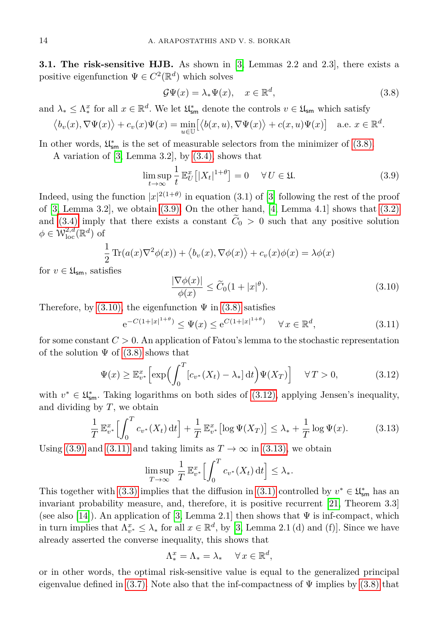<span id="page-5-6"></span>**3.1. The risk-sensitive HJB.** As shown in [\[3,](#page-14-5) Lemmas 2.2 and 2.3], there exists a positive eigenfunction  $\Psi \in C^2(\mathbb{R}^d)$  which solves

<span id="page-5-1"></span><span id="page-5-0"></span>
$$
\mathcal{G}\Psi(x) = \lambda_* \Psi(x), \quad x \in \mathbb{R}^d,
$$
\n(3.8)

and  $\lambda_* \leq \Lambda_*^x$  for all  $x \in \mathbb{R}^d$ . We let  $\mathfrak{U}_{\text{sm}}^*$  denote the controls  $v \in \mathfrak{U}_{\text{sm}}$  which satisfy

$$
\langle b_v(x), \nabla \Psi(x) \rangle + c_v(x) \Psi(x) = \min_{u \in \mathbb{U}} \left[ \langle b(x, u), \nabla \Psi(x) \rangle + c(x, u) \Psi(x) \right] \quad \text{a.e. } x \in \mathbb{R}^d.
$$

In other words,  $\mathfrak{U}^*_{\mathsf{sm}}$  is the set of measurable selectors from the minimizer of  $(3.8)$ .

A variation of [\[3,](#page-14-5) Lemma 3.2], by [\(3.4\),](#page-4-0) shows that

$$
\limsup_{t \to \infty} \frac{1}{t} \mathbb{E}_U^x \left[ |X_t|^{1+\theta} \right] = 0 \quad \forall U \in \mathfrak{U}.
$$
 (3.9)

Indeed, using the function  $|x|^{2(1+\theta)}$  in equation (3.1) of [\[3\]](#page-14-5) following the rest of the proof of [\[3,](#page-14-5) Lemma 3.2], we obtain [\(3.9\).](#page-5-1) On the other hand, [\[4,](#page-14-6) Lemma 4.1] shows that [\(3.2\)](#page-4-1) and [\(3.4\)](#page-4-0) imply that there exists a constant  $\tilde{C}_0 > 0$  such that any positive solution  $\phi \in \mathcal{W}^{2,d}_{\mathrm{loc}}(\mathbb{R}^d)$  of

<span id="page-5-2"></span>
$$
\frac{1}{2}\operatorname{Tr}(a(x)\nabla^2\phi(x)) + \langle b_v(x), \nabla\phi(x) \rangle + c_v(x)\phi(x) = \lambda\phi(x)
$$

for  $v \in \mathfrak{U}_{\mathsf{sm}}$ , satisfies

<span id="page-5-4"></span>
$$
\frac{|\nabla \phi(x)|}{\phi(x)} \le \widetilde{C}_0 (1+|x|^\theta). \tag{3.10}
$$

Therefore, by  $(3.10)$ , the eigenfunction  $\Psi$  in  $(3.8)$  satisfies

e

<span id="page-5-3"></span>
$$
-C(1+|x|^{1+\theta}) \le \Psi(x) \le e^{C(1+|x|^{1+\theta})} \quad \forall x \in \mathbb{R}^d,
$$
\n(3.11)

for some constant  $C > 0$ . An application of Fatou's lemma to the stochastic representation of the solution  $\Psi$  of [\(3.8\)](#page-5-0) shows that

$$
\Psi(x) \ge \mathbb{E}_{v^*}^x \Big[ \exp \Big( \int_0^T \big[ c_{v^*}(X_t) - \lambda_* \big] \, \mathrm{d}t \Big) \Psi(X_T) \Big] \quad \forall \, T > 0,\tag{3.12}
$$

with  $v^* \in \mathfrak{U}^*_{\mathsf{sm}}$ . Taking logarithms on both sides of [\(3.12\),](#page-5-3) applying Jensen's inequality, and dividing by *T*, we obtain

$$
\frac{1}{T} \mathbb{E}_{v^*}^x \Big[ \int_0^T c_{v^*}(X_t) dt \Big] + \frac{1}{T} \mathbb{E}_{v^*}^x \big[ \log \Psi(X_T) \big] \le \lambda_* + \frac{1}{T} \log \Psi(x). \tag{3.13}
$$

Using [\(3.9\)](#page-5-1) and [\(3.11\)](#page-5-4) and taking limits as  $T \to \infty$  in [\(3.13\),](#page-5-5) we obtain

<span id="page-5-5"></span>
$$
\limsup_{T \to \infty} \frac{1}{T} \mathbb{E}_{v^*}^x \Big[ \int_0^T c_{v^*}(X_t) dt \Big] \le \lambda_*.
$$

This together with [\(3.3\)](#page-4-2) implies that the diffusion in [\(3.1\)](#page-3-1) controlled by  $v^* \in \mathfrak{U}^*_{\mathsf{sm}}$  has an invariant probability measure, and, therefore, it is positive recurrent [\[21,](#page-15-6) Theorem 3.3] (see also [\[14\]](#page-14-7)). An application of [\[3,](#page-14-5) Lemma 2.1] then shows that  $\Psi$  is inf-compact, which in turn implies that  $\Lambda_{v^*}^x \leq \lambda_*$  for all  $x \in \mathbb{R}^d$ , by [\[3,](#page-14-5) Lemma 2.1 (d) and (f)]. Since we have already asserted the converse inequality, this shows that

$$
\Lambda_*^x = \Lambda_* = \lambda_* \quad \forall x \in \mathbb{R}^d,
$$

or in other words, the optimal risk-sensitive value is equal to the generalized principal eigenvalue defined in [\(3.7\).](#page-4-3) Note also that the inf-compactness of  $\Psi$  implies by [\(3.8\)](#page-5-0) that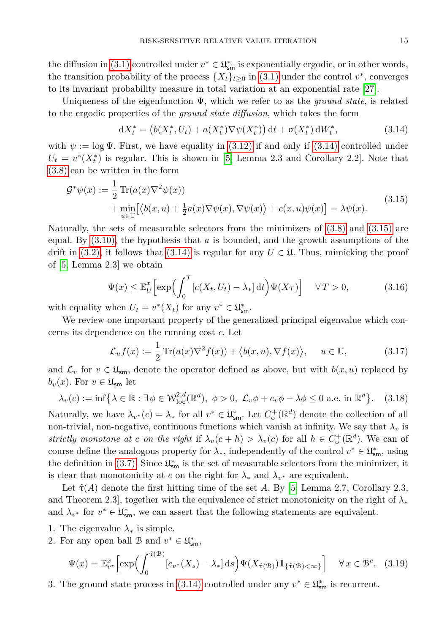the diffusion in [\(3.1\)](#page-3-1) controlled under  $v^* \in \mathfrak{U}^*_{\mathsf{sm}}$  is exponentially ergodic, or in other words, the transition probability of the process  $\{X_t\}_{t\geq 0}$  in [\(3.1\)](#page-3-1) under the control  $v^*$ , converges to its invariant probability measure in total variation at an exponential rate [\[27\]](#page-15-7).

Uniqueness of the eigenfunction Ψ, which we refer to as the *ground state*, is related to the ergodic properties of the *ground state diffusion*, which takes the form

<span id="page-6-1"></span><span id="page-6-0"></span>
$$
dX_t^* = (b(X_t^*, U_t) + a(X_t^*) \nabla \psi(X_t^*)) dt + \sigma(X_t^*) dW_t^*,
$$
\n(3.14)

with  $\psi := \log \Psi$ . First, we have equality in [\(3.12\)](#page-5-3) if and only if [\(3.14\)](#page-6-0) controlled under  $U_t = v^*(X_t^*)$  is regular. This is shown in [\[5,](#page-14-8) Lemma 2.3 and Corollary 2.2]. Note that [\(3.8\)](#page-5-0) can be written in the form

$$
\mathcal{G}^*\psi(x) := \frac{1}{2} \operatorname{Tr}(a(x)\nabla^2 \psi(x)) \n+ \min_{u \in \mathbb{U}} [\langle b(x, u) + \frac{1}{2} a(x) \nabla \psi(x), \nabla \psi(x) \rangle + c(x, u)\psi(x)] = \lambda \psi(x).
$$
\n(3.15)

Naturally, the sets of measurable selectors from the minimizers of [\(3.8\)](#page-5-0) and [\(3.15\)](#page-6-1) are equal. By [\(3.10\),](#page-5-2) the hypothesis that *a* is bounded, and the growth assumptions of the drift in [\(3.2\),](#page-4-1) it follows that [\(3.14\)](#page-6-0) is regular for any  $U \in \mathfrak{U}$ . Thus, mimicking the proof of [\[5,](#page-14-8) Lemma 2.3] we obtain

<span id="page-6-2"></span>
$$
\Psi(x) \le \mathbb{E}_U^x \Big[ \exp \Big( \int_0^T \big[ c(X_t, U_t) - \lambda_* \big] \, \mathrm{d}t \Big) \Psi(X_T) \Big] \quad \forall \, T > 0,\tag{3.16}
$$

with equality when  $U_t = v^*(X_t)$  for any  $v^* \in \mathfrak{U}_{\text{sm}}^*$ .

We review one important property of the generalized principal eigenvalue which concerns its dependence on the running cost *c*. Let

<span id="page-6-5"></span><span id="page-6-4"></span>
$$
\mathcal{L}_u f(x) := \frac{1}{2} \operatorname{Tr}(a(x) \nabla^2 f(x)) + \langle b(x, u), \nabla f(x) \rangle, \quad u \in \mathbb{U}, \tag{3.17}
$$

and  $\mathcal{L}_v$  for  $v \in \mathfrak{U}_{\mathsf{sm}}$ , denote the operator defined as above, but with  $b(x, u)$  replaced by  $b_v(x)$ . For  $v \in \mathfrak{U}_{\mathsf{sm}}$  let

$$
\lambda_v(c) := \inf \left\{ \lambda \in \mathbb{R} : \exists \phi \in \mathcal{W}_{\text{loc}}^{2,d}(\mathbb{R}^d), \ \phi > 0, \ \mathcal{L}_v \phi + c_v \phi - \lambda \phi \le 0 \text{ a.e. in } \mathbb{R}^d \right\}. \tag{3.18}
$$

Naturally, we have  $\lambda_{v^*}(c) = \lambda_*$  for all  $v^* \in \mathfrak{U}_{\text{sm}}^*$ . Let  $C_o^+(\mathbb{R}^d)$  denote the collection of all non-trivial, non-negative, continuous functions which vanish at infinity. We say that  $\lambda_v$  is *strictly monotone at c on the right* if  $\lambda_v(c+h) > \lambda_v(c)$  for all  $h \in C_o^+(\mathbb{R}^d)$ . We can of course define the analogous property for  $\lambda_*$ , independently of the control  $v^* \in \mathfrak{U}^*_{\mathsf{sm}}$ , using the definition in [\(3.7\).](#page-4-3) Since  $\mathfrak{U}^*_{\mathsf{sm}}$  is the set of measurable selectors from the minimizer, it is clear that monotonicity at *c* on the right for  $\lambda_*$  and  $\lambda_{v^*}$  are equivalent.

Let  $\hat{\tau}(A)$  denote the first hitting time of the set A. By [\[5,](#page-14-8) Lemma 2.7, Corollary 2.3, and Theorem 2.3], together with the equivalence of strict monotonicity on the right of *λ*<sup>∗</sup> and  $\lambda_{v^*}$  for  $v^* \in \mathfrak{U}^*_{\mathsf{sm}}$ , we can assert that the following statements are equivalent.

- 1. The eigenvalue  $\lambda_*$  is simple.
- 2. For any open ball B and  $v^* \in \mathfrak{U}^*_{\mathsf{sm}},$

<span id="page-6-3"></span>
$$
\Psi(x) = \mathbb{E}_{v^*}^x \left[ \exp \left( \int_0^{\hat{\tau}(B)} \left[ c_{v^*}(X_s) - \lambda_* \right] ds \right) \Psi(X_{\hat{\tau}(B)}) \mathbb{1}_{\{\hat{\tau}(B) < \infty\}} \right] \quad \forall x \in \bar{\mathcal{B}}^c. \tag{3.19}
$$

3. The ground state process in [\(3.14\)](#page-6-0) controlled under any  $v^* \in \mathfrak{U}^*_{\mathsf{sm}}$  is recurrent.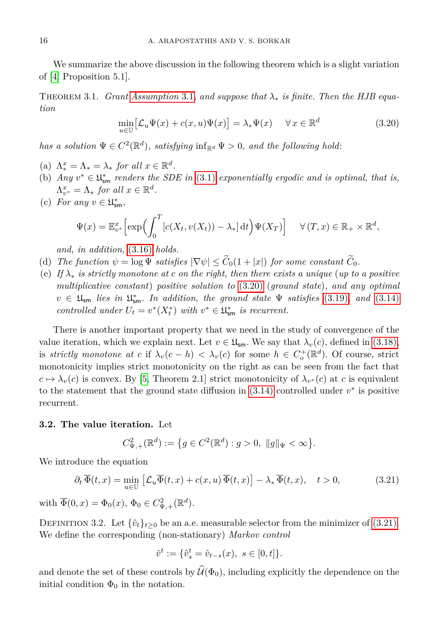We summarize the above discussion in the following theorem which is a slight variation of [\[4,](#page-14-6) Proposition 5.1].

<span id="page-7-2"></span><span id="page-7-0"></span>Theorem 3.1. *Grant [Assumption](#page-3-2)* 3.1*, and suppose that λ*<sup>∗</sup> *is finite. Then the HJB equation*

$$
\min_{u \in \mathbb{U}} \left[ \mathcal{L}_u \Psi(x) + c(x, u) \Psi(x) \right] = \lambda_* \Psi(x) \quad \forall x \in \mathbb{R}^d
$$
\n(3.20)

*has a solution*  $\Psi \in C^2(\mathbb{R}^d)$ *, satisfying*  $\inf_{\mathbb{R}^d} \Psi > 0$ *, and the following hold*:

- (a)  $\Lambda_*^x = \Lambda_* = \lambda_*$  *for all*  $x \in \mathbb{R}^d$ .
- (b) *Any*  $v^* \in \mathfrak{U}^*_{\text{sm}}$  *renders the SDE in* [\(3.1\)](#page-3-1) *exponentially ergodic and is optimal, that is,*  $\Lambda_{v^*}^x = \Lambda_*$  *for all*  $x \in \mathbb{R}^d$ .
- (c) For any  $v \in \mathfrak{U}^*_{\mathsf{sm}},$

$$
\Psi(x) = \mathbb{E}_{v^*}^x \left[ \exp \left( \int_0^T \left[ c(X_t, v(X_t)) - \lambda_* \right] dt \right) \Psi(X_T) \right] \quad \forall (T, x) \in \mathbb{R}_+ \times \mathbb{R}^d,
$$

*and, in addition,* [\(3.16\)](#page-6-2) *holds.*

- (d) *The function*  $\psi = \log \Psi$  *satisfies*  $|\nabla \psi| \leq \widetilde{C}_0(1+|x|)$  *for some constant*  $\widetilde{C}_0$ *.*
- (e) *If λ*<sup>∗</sup> *is strictly monotone at c on the right, then there exists a unique* (*up to a positive multiplicative constant*) *positive solution to* [\(3.20\)](#page-7-0) (*ground state*)*, and any optimal*  $v \in \mathfrak{U}_{\mathsf{sm}}$  *lies in*  $\mathfrak{U}_{\mathsf{sm}}^*$ *. In addition, the ground state*  $\Psi$  *satisfies* [\(3.19\)](#page-6-3)*, and* [\(3.14\)](#page-6-0) *controlled under*  $U_t = v^*(X_t^*)$  *with*  $v^* \in \mathfrak{U}_{\mathsf{sm}}^*$  *is recurrent.*

There is another important property that we need in the study of convergence of the value iteration, which we explain next. Let  $v \in \mathfrak{U}_{\mathsf{sm}}$ . We say that  $\lambda_v(c)$ , defined in [\(3.18\),](#page-6-4) is *strictly monotone at c* if  $\lambda_v(c-h) < \lambda_v(c)$  for some  $h \in C_o^+(\mathbb{R}^d)$ . Of course, strict monotonicity implies strict monotonicity on the right as can be seen from the fact that  $c \mapsto \lambda_v(c)$  is convex. By [\[5,](#page-14-8) Theorem 2.1] strict monotonicity of  $\lambda_{v^*}(c)$  at *c* is equivalent to the statement that the ground state diffusion in  $(3.14)$  controlled under  $v^*$  is positive recurrent.

#### **3.2. The value iteration.** Let

<span id="page-7-1"></span>
$$
C_{\Psi,+}^2(\mathbb{R}^d) := \big\{ g \in C^2(\mathbb{R}^d) : g > 0, \ \|g\|_{\Psi} < \infty \big\}.
$$

We introduce the equation

$$
\partial_t \overline{\Phi}(t,x) = \min_{u \in \mathbb{U}} \left[ \mathcal{L}_u \overline{\Phi}(t,x) + c(x,u) \overline{\Phi}(t,x) \right] - \lambda_* \overline{\Phi}(t,x), \quad t > 0,
$$
\n(3.21)

with  $\overline{\Phi}(0, x) = \Phi_0(x), \Phi_0 \in C^2_{\Psi, +}(\mathbb{R}^d)$ .

*C*

<span id="page-7-3"></span>DEFINITION 3.2. Let  $\{\hat{v}_t\}_{t>0}$  be an a.e. measurable selector from the minimizer of [\(3.21\).](#page-7-1) We define the corresponding (non-stationary) *Markov control*

$$
\hat{v}^t := \{ \hat{v}_s^t = \hat{v}_{t-s}(x), \ s \in [0, t] \}.
$$

and denote the set of these controls by  $\hat{\mathcal{U}}(\Phi_0)$ , including explicitly the dependence on the initial condition  $\Phi_0$  in the notation.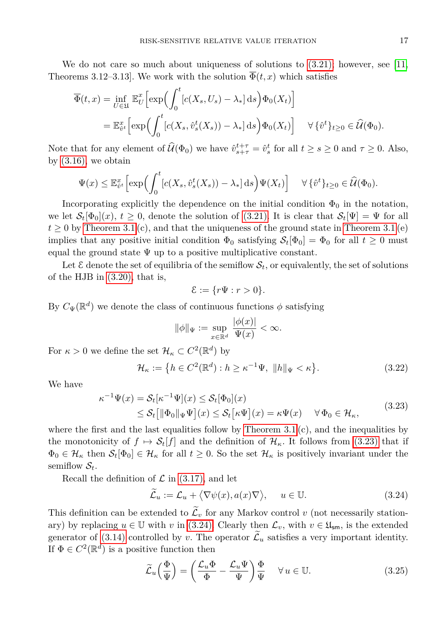We do not care so much about uniqueness of solutions to  $(3.21)$ ; however, see [\[11,](#page-14-9) Theorems 3.12–3.13]. We work with the solution  $\overline{\Phi}(t,x)$  which satisfies

$$
\overline{\Phi}(t,x) = \inf_{U \in \mathfrak{U}} \mathbb{E}_U^x \Big[ \exp \Big( \int_0^t \big[ c(X_s, U_s) - \lambda_* \big] ds \Big) \Phi_0(X_t) \Big]
$$
  
= 
$$
\mathbb{E}_{\hat{v}^t}^x \Big[ \exp \Big( \int_0^t \big[ c(X_s, \hat{v}_s^t(X_s)) - \lambda_* \big] ds \Big) \Phi_0(X_t) \Big] \quad \forall \, \{\hat{v}^t\}_{t \ge 0} \in \widehat{\mathcal{U}}(\Phi_0).
$$

Note that for any element of  $\widehat{\mathcal{U}}(\Phi_0)$  we have  $\widehat{v}_{s+\tau}^{t+\tau} = \widehat{v}_s^t$  for all  $t \geq s \geq 0$  and  $\tau \geq 0$ . Also, by  $(3.16)$ , we obtain

$$
\Psi(x) \leq \mathbb{E}_{\hat{v}^t}^x \Big[ \exp \Big( \int_0^t \big[ c(X_s, \hat{v}_s^t(X_s)) - \lambda_* \big] ds \Big) \Psi(X_t) \Big] \quad \forall \, \{ \hat{v}^t \}_{t \geq 0} \in \widehat{\mathcal{U}}(\Phi_0).
$$

Incorporating explicitly the dependence on the initial condition  $\Phi_0$  in the notation, we let  $\mathcal{S}_t[\Phi_0](x)$ ,  $t \geq 0$ , denote the solution of [\(3.21\).](#page-7-1) It is clear that  $\mathcal{S}_t[\Psi] = \Psi$  for all  $t \geq 0$  by [Theorem 3.1](#page-7-2) (c), and that the uniqueness of the ground state in Theorem 3.1 (e) implies that any positive initial condition  $\Phi_0$  satisfying  $S_t[\Phi_0] = \Phi_0$  for all  $t \geq 0$  must equal the ground state  $\Psi$  up to a positive multiplicative constant.

Let  $\mathcal E$  denote the set of equilibria of the semiflow  $\mathcal S_t$ , or equivalently, the set of solutions of the HJB in [\(3.20\),](#page-7-0) that is,

$$
\mathcal{E} := \{ r\Psi : r > 0 \}.
$$

By  $C_{\Psi}(\mathbb{R}^d)$  we denote the class of continuous functions  $\phi$  satisfying

<span id="page-8-3"></span>
$$
\|\phi\|_{\Psi} := \sup_{x \in \mathbb{R}^d} \frac{|\phi(x)|}{\Psi(x)} < \infty.
$$

For  $\kappa > 0$  we define the set  $\mathcal{H}_{\kappa} \subset C^2(\mathbb{R}^d)$  by

$$
\mathcal{H}_{\kappa} := \left\{ h \in C^2(\mathbb{R}^d) : h \ge \kappa^{-1} \Psi, \ \|h\|_{\Psi} < \kappa \right\}.
$$
\n(3.22)

We have

<span id="page-8-0"></span>
$$
\kappa^{-1}\Psi(x) = \mathcal{S}_t[\kappa^{-1}\Psi](x) \le \mathcal{S}_t[\Phi_0](x)
$$
  
\n
$$
\le \mathcal{S}_t[ \|\Phi_0\|_{\Psi}\Psi](x) \le \mathcal{S}_t[\kappa\Psi](x) = \kappa\Psi(x) \quad \forall \Phi_0 \in \mathcal{H}_{\kappa},
$$
\n(3.23)

where the first and the last equalities follow by Theorem  $3.1$  (c), and the inequalities by the monotonicity of  $f \mapsto \mathcal{S}_t[f]$  and the definition of  $\mathcal{H}_{\kappa}$ . It follows from [\(3.23\)](#page-8-0) that if  $\Phi_0 \in \mathcal{H}_\kappa$  then  $\mathcal{S}_t[\Phi_0] \in \mathcal{H}_\kappa$  for all  $t \geq 0$ . So the set  $\mathcal{H}_\kappa$  is positively invariant under the semiflow  $S_t$ .

Recall the definition of  $\mathcal L$  in [\(3.17\),](#page-6-5) and let

<span id="page-8-1"></span>
$$
\widetilde{\mathcal{L}}_u := \mathcal{L}_u + \langle \nabla \psi(x), a(x) \nabla \rangle, \quad u \in \mathbb{U}.
$$
\n(3.24)

This definition can be extended to  $\widetilde{\mathcal{L}}_v$  for any Markov control *v* (not necessarily stationary) by replacing  $u \in \mathbb{U}$  with *v* in [\(3.24\).](#page-8-1) Clearly then  $\mathcal{L}_v$ , with  $v \in \mathfrak{U}_{\mathsf{sm}}$ , is the extended generator of [\(3.14\)](#page-6-0) controlled by *v*. The operator  $\mathcal{L}_u$  satisfies a very important identity. If  $\Phi \in C^2(\mathbb{R}^d)$  is a positive function then

<span id="page-8-2"></span>
$$
\widetilde{\mathcal{L}}_u\left(\frac{\Phi}{\Psi}\right) = \left(\frac{\mathcal{L}_u \Phi}{\Phi} - \frac{\mathcal{L}_u \Psi}{\Psi}\right) \frac{\Phi}{\Psi} \quad \forall u \in \mathbb{U}.\tag{3.25}
$$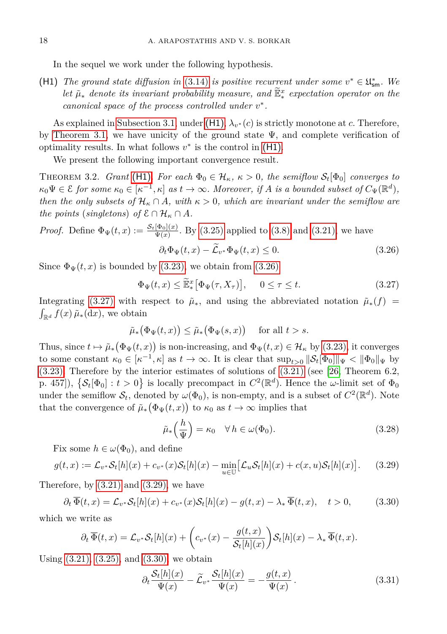In the sequel we work under the following hypothesis.

<span id="page-9-0"></span>(H1) *The ground state diffusion in* [\(3.14\)](#page-6-0) *is positive recurrent under some*  $v^* \in \mathfrak{U}_{\text{sm}}^*$ . We *let*  $\tilde{\mu}_*$  *denote its invariant probability measure, and*  $\tilde{\mathbb{E}}_*^x$  *expectation operator on the canonical space of the process controlled under v* ∗ *.*

As explained in [Subsection 3.1,](#page-5-6) under  $(H1)$ ,  $\lambda_{v^*}(c)$  is strictly monotone at *c*. Therefore, by [Theorem 3.1,](#page-7-2) we have unicity of the ground state  $\Psi$ , and complete verification of optimality results. In what follows  $v^*$  is the control in  $(H1)$ .

We present the following important convergence result.

<span id="page-9-7"></span>THEOREM 3.2. *Grant* [\(H1\)](#page-9-0). For each  $\Phi_0 \in \mathcal{H}_\kappa$ ,  $\kappa > 0$ , the semiflow  $\mathcal{S}_t[\Phi_0]$  converges to  $\kappa_0 \Psi \in \mathcal{E}$  for some  $\kappa_0 \in [\kappa^{-1}, \kappa]$  as  $t \to \infty$ . Moreover, if *A* is a bounded subset of  $C_{\Psi}(\mathbb{R}^d)$ , *then the only subsets of*  $\mathcal{H}_\kappa \cap A$ *, with*  $\kappa > 0$ *, which are invariant under the semiflow are the points* (*singletons*) *of*  $\mathcal{E} \cap \mathcal{H}_\kappa \cap A$ *.* 

*Proof.* Define 
$$
\Phi_{\Psi}(t, x) := \frac{\mathcal{S}_t[\Phi_0](x)}{\Psi(x)}
$$
. By (3.25) applied to (3.8) and (3.21), we have

<span id="page-9-2"></span><span id="page-9-1"></span>
$$
\partial_t \Phi_{\Psi}(t, x) - \mathcal{L}_{v^*} \Phi_{\Psi}(t, x) \le 0. \tag{3.26}
$$

Since  $\Phi_{\Psi}(t, x)$  is bounded by [\(3.23\),](#page-8-0) we obtain from [\(3.26\)](#page-9-1)

$$
\Phi_{\Psi}(t,x) \le \widetilde{\mathbb{E}}_*^x \big[ \Phi_{\Psi}(\tau, X_{\tau}) \big], \quad 0 \le \tau \le t. \tag{3.27}
$$

Integrating [\(3.27\)](#page-9-2) with respect to  $\tilde{\mu}_*$ , and using the abbreviated notation  $\tilde{\mu}_*(f)$  =  $\int_{\mathbb{R}^d} f(x) \, \tilde{\mu}_*(\text{d}x)$ , we obtain

$$
\tilde{\mu}_*\big(\Phi_{\Psi}(t,x)\big) \le \tilde{\mu}_*\big(\Phi_{\Psi}(s,x)\big) \quad \text{ for all } t > s.
$$

Thus, since  $t \mapsto \tilde{\mu}_*(\Phi_\Psi(t,x))$  is non-increasing, and  $\Phi_\Psi(t,x) \in \mathcal{H}_\kappa$  by [\(3.23\),](#page-8-0) it converges to some constant  $\kappa_0 \in [\kappa^{-1}, \kappa]$  as  $t \to \infty$ . It is clear that  $\sup_{t>0} ||S_t[\Phi_0]||_{\Psi} < ||\Phi_0||_{\Psi}$  by  $(3.23)$ . Therefore by the interior estimates of solutions of  $(3.21)$  (see [\[26,](#page-15-8) Theorem 6.2, p. 457]),  $\{\mathcal{S}_t[\Phi_0]: t > 0\}$  is locally precompact in  $C^2(\mathbb{R}^d)$ . Hence the *ω*-limit set of  $\Phi_0$ under the semiflow  $\mathcal{S}_t$ , denoted by  $\omega(\Phi_0)$ , is non-empty, and is a subset of  $C^2(\mathbb{R}^d)$ . Note that the convergence of  $\tilde{\mu}_*(\Phi_\Psi(t,x))$  to  $\kappa_0$  as  $t \to \infty$  implies that

<span id="page-9-6"></span><span id="page-9-4"></span><span id="page-9-3"></span>
$$
\tilde{\mu}_* \left( \frac{h}{\Psi} \right) = \kappa_0 \quad \forall \, h \in \omega(\Phi_0). \tag{3.28}
$$

Fix some  $h \in \omega(\Phi_0)$ , and define

$$
g(t,x) := \mathcal{L}_{v^*} \mathcal{S}_t[h](x) + c_{v^*}(x) \mathcal{S}_t[h](x) - \min_{u \in \mathbb{U}} \left[ \mathcal{L}_u \mathcal{S}_t[h](x) + c(x,u) \mathcal{S}_t[h](x) \right]. \tag{3.29}
$$

Therefore, by [\(3.21\)](#page-7-1) and [\(3.29\),](#page-9-3) we have

$$
\partial_t \overline{\Phi}(t,x) = \mathcal{L}_{v^*} \mathcal{S}_t[h](x) + c_{v^*}(x) \mathcal{S}_t[h](x) - g(t,x) - \lambda_* \overline{\Phi}(t,x), \quad t > 0,
$$
\n(3.30)

which we write as

$$
\partial_t \overline{\Phi}(t,x) = \mathcal{L}_{v^*} \mathcal{S}_t[h](x) + \left(c_{v^*}(x) - \frac{g(t,x)}{\mathcal{S}_t[h](x)}\right) \mathcal{S}_t[h](x) - \lambda_* \overline{\Phi}(t,x).
$$

Using [\(3.21\),](#page-7-1) [\(3.25\),](#page-8-2) and [\(3.30\),](#page-9-4) we obtain

<span id="page-9-5"></span>
$$
\partial_t \frac{\mathcal{S}_t[h](x)}{\Psi(x)} - \widetilde{\mathcal{L}}_{v^*} \frac{\mathcal{S}_t[h](x)}{\Psi(x)} = -\frac{g(t,x)}{\Psi(x)}.
$$
\n(3.31)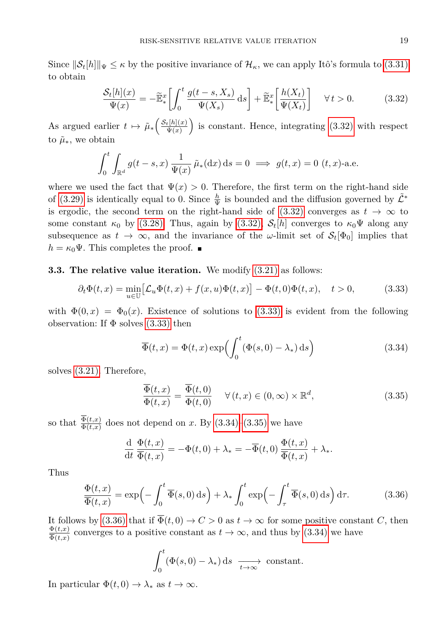Since  $\|\mathcal{S}_t[h]\|_{\Psi} \leq \kappa$  by the positive invariance of  $\mathcal{H}_{\kappa}$ , we can apply Itô's formula to [\(3.31\)](#page-9-5) to obtain

<span id="page-10-0"></span>
$$
\frac{\mathcal{S}_t[h](x)}{\Psi(x)} = -\widetilde{\mathbb{E}}_*^x \left[ \int_0^t \frac{g(t-s, X_s)}{\Psi(X_s)} ds \right] + \widetilde{\mathbb{E}}_*^x \left[ \frac{h(X_t)}{\Psi(X_t)} \right] \quad \forall \, t > 0. \tag{3.32}
$$

As argued earlier  $t \mapsto \tilde{\mu}_* \left( \frac{\mathcal{S}_t[h](x)}{\Psi(x)} \right)$  is constant. Hence, integrating [\(3.32\)](#page-10-0) with respect to  $\tilde{\mu}_*$ , we obtain

$$
\int_0^t \int_{\mathbb{R}^d} g(t-s, x) \frac{1}{\Psi(x)} \tilde{\mu}_*(dx) ds = 0 \implies g(t, x) = 0 \quad (t, x)\text{-a.e.}
$$

where we used the fact that  $\Psi(x) > 0$ . Therefore, the first term on the right-hand side of [\(3.29\)](#page-9-3) is identically equal to 0. Since  $\frac{h}{\Psi}$  is bounded and the diffusion governed by  $\tilde{\mathcal{L}}^*$ is ergodic, the second term on the right-hand side of  $(3.32)$  converges as  $t \to \infty$  to some constant  $\kappa_0$  by [\(3.28\).](#page-9-6) Thus, again by [\(3.32\),](#page-10-0)  $\mathcal{S}_t[h]$  converges to  $\kappa_0\Psi$  along any subsequence as  $t \to \infty$ , and the invariance of the *ω*-limit set of  $\mathcal{S}_t[\Phi_0]$  implies that  $h = \kappa_0 \Psi$ . This completes the proof.  $\blacksquare$ 

### **3.3. The relative value iteration.** We modify [\(3.21\)](#page-7-1) as follows:

$$
\partial_t \Phi(t, x) = \min_{u \in \mathbb{U}} \left[ \mathcal{L}_u \Phi(t, x) + f(x, u) \Phi(t, x) \right] - \Phi(t, 0) \Phi(t, x), \quad t > 0,
$$
\n(3.33)

with  $\Phi(0, x) = \Phi_0(x)$ . Existence of solutions to [\(3.33\)](#page-10-1) is evident from the following observation: If  $\Phi$  solves [\(3.33\)](#page-10-1) then

<span id="page-10-2"></span><span id="page-10-1"></span>
$$
\overline{\Phi}(t,x) = \Phi(t,x) \exp\left(\int_0^t (\Phi(s,0) - \lambda_*) \,ds\right)
$$
\n(3.34)

solves [\(3.21\).](#page-7-1) Therefore,

<span id="page-10-3"></span>
$$
\overline{\Phi}(t,x) = \overline{\Phi}(t,0) \qquad \forall (t,x) \in (0,\infty) \times \mathbb{R}^d,
$$
\n(3.35)

so that  $\frac{\Phi(t,x)}{\Phi(t,x)}$  does not depend on *x*. By [\(3.34\)](#page-10-2)[–\(3.35\)](#page-10-3) we have

$$
\frac{\mathrm{d}}{\mathrm{d}t}\frac{\Phi(t,x)}{\overline{\Phi}(t,x)} = -\Phi(t,0) + \lambda_* = -\overline{\Phi}(t,0)\frac{\Phi(t,x)}{\overline{\Phi}(t,x)} + \lambda_*.
$$

Thus

<span id="page-10-4"></span>
$$
\frac{\Phi(t,x)}{\overline{\Phi}(t,x)} = \exp\left(-\int_0^t \overline{\Phi}(s,0) \,ds\right) + \lambda_* \int_0^t \exp\left(-\int_\tau^t \overline{\Phi}(s,0) \,ds\right) d\tau.
$$
 (3.36)

It follows by [\(3.36\)](#page-10-4) that if  $\overline{\Phi}(t,0) \to C > 0$  as  $t \to \infty$  for some positive constant *C*, then  $\frac{\Phi(t,x)}{\overline{\Phi}(t,x)}$  converges to a positive constant as  $t \to \infty$ , and thus by [\(3.34\)](#page-10-2) we have  $\overline{\overline{\Phi}(t,x)}$ 

$$
\int_0^t (\Phi(s,0) - \lambda_*) \, \mathrm{d} s \xrightarrow[t \to \infty]{} \text{constant}.
$$

In particular  $\Phi(t,0) \to \lambda_*$  as  $t \to \infty$ .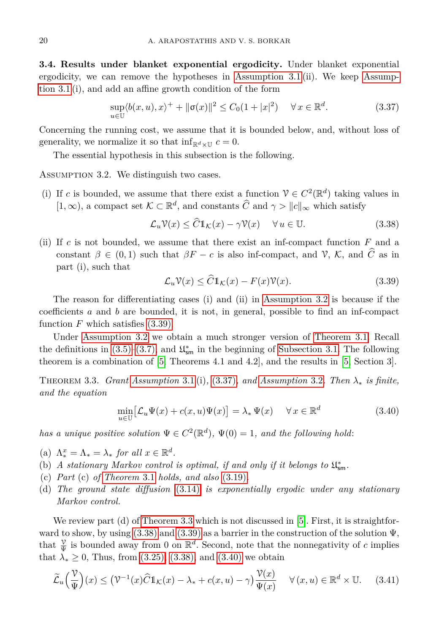**3.4. Results under blanket exponential ergodicity.** Under blanket exponential ergodicity, we can remove the hypotheses in [Assumption 3.1 \(](#page-3-2)ii). We keep [Assump](#page-3-2)[tion 3.1](#page-3-2) (i), and add an affine growth condition of the form

<span id="page-11-2"></span>
$$
\sup_{u \in \mathbb{U}} \langle b(x, u), x \rangle^+ + \|\sigma(x)\|^2 \le C_0 (1 + |x|^2) \quad \forall x \in \mathbb{R}^d. \tag{3.37}
$$

Concerning the running cost, we assume that it is bounded below, and, without loss of generality, we normalize it so that  $\inf_{\mathbb{R}^d \times \mathbb{U}} c = 0$ .

The essential hypothesis in this subsection is the following.

<span id="page-11-0"></span>Assumption 3.2. We distinguish two cases.

(i) If *c* is bounded, we assume that there exist a function  $V \in C^2(\mathbb{R}^d)$  taking values in  $[1, \infty)$ , a compact set  $K \subset \mathbb{R}^d$ , and constants  $\widehat{C}$  and  $\gamma > ||c||_{\infty}$  which satisfy

$$
\mathcal{L}_u \mathcal{V}(x) \le \widehat{C} \mathbb{1}_{\mathcal{K}}(x) - \gamma \mathcal{V}(x) \quad \forall u \in \mathbb{U}.
$$
 (3.38)

(ii) If *c* is not bounded, we assume that there exist an inf-compact function *F* and a constant  $\beta \in (0,1)$  such that  $\beta F - c$  is also inf-compact, and  $\mathcal{V}, \mathcal{K}$ , and  $\widehat{C}$  as in part (i), such that

<span id="page-11-4"></span><span id="page-11-1"></span>
$$
\mathcal{L}_u \mathcal{V}(x) \le \widehat{C} \mathbb{1}_{\mathcal{K}}(x) - F(x) \mathcal{V}(x). \tag{3.39}
$$

The reason for differentiating cases (i) and (ii) in [Assumption 3.2](#page-11-0) is because if the coefficients *a* and *b* are bounded, it is not, in general, possible to find an inf-compact function  $F$  which satisfies  $(3.39)$ .

Under [Assumption 3.2](#page-11-0) we obtain a much stronger version of [Theorem 3.1.](#page-7-2) Recall the definitions in [\(3.5\)–](#page-4-4)[\(3.7\),](#page-4-3) and  $\mathfrak{U}^*_{\mathsf{sm}}$  in the beginning of [Subsection 3.1.](#page-5-6) The following theorem is a combination of [\[5,](#page-14-8) Theorems 4.1 and 4.2], and the results in [\[5,](#page-14-8) Section 3].

<span id="page-11-3"></span>Theorem 3.3. *Grant [Assumption](#page-3-2)* 3.1 (i)*,* [\(3.37\)](#page-11-2)*, and [Assumption](#page-11-0)* 3.2*. Then λ*<sup>∗</sup> *is finite, and the equation*

<span id="page-11-6"></span><span id="page-11-5"></span>
$$
\min_{u \in \mathbb{U}} \left[ \mathcal{L}_u \Psi(x) + c(x, u) \Psi(x) \right] = \lambda_* \Psi(x) \quad \forall x \in \mathbb{R}^d
$$
\n(3.40)

*has a unique positive solution*  $\Psi \in C^2(\mathbb{R}^d)$ ,  $\Psi(0) = 1$ *, and the following hold*:

(a)  $\Lambda_*^x = \Lambda_* = \lambda_*$  *for all*  $x \in \mathbb{R}^d$ .

- (b) *A* stationary Markov control is optimal, if and only if it belongs to  $\mathfrak{U}^*_{\mathsf{sm}}$ .
- (c) *Part* (c) *of [Theorem](#page-7-2)* 3.1 *holds, and also* [\(3.19\)](#page-6-3)*.*
- (d) *The ground state diffusion* [\(3.14\)](#page-6-0) *is exponentially ergodic under any stationary Markov control.*

We review part (d) of [Theorem 3.3](#page-11-3) which is not discussed in  $[5]$ . First, it is straightforward to show, by using  $(3.38)$  and  $(3.39)$  as a barrier in the construction of the solution  $\Psi$ , that  $\frac{\nu}{\Psi}$  is bounded away from 0 on  $\mathbb{R}^d$ . Second, note that the nonnegativity of *c* implies that  $\lambda_* \geq 0$ , Thus, from [\(3.25\),](#page-8-2) [\(3.38\),](#page-11-4) and [\(3.40\)](#page-11-5) we obtain

$$
\widetilde{\mathcal{L}}_u\left(\frac{\mathcal{V}}{\Psi}\right)(x) \le (\mathcal{V}^{-1}(x)\widehat{C}1_{\mathcal{K}}(x) - \lambda_* + c(x, u) - \gamma)\frac{\mathcal{V}(x)}{\Psi(x)} \quad \forall (x, u) \in \mathbb{R}^d \times \mathbb{U}.
$$
 (3.41)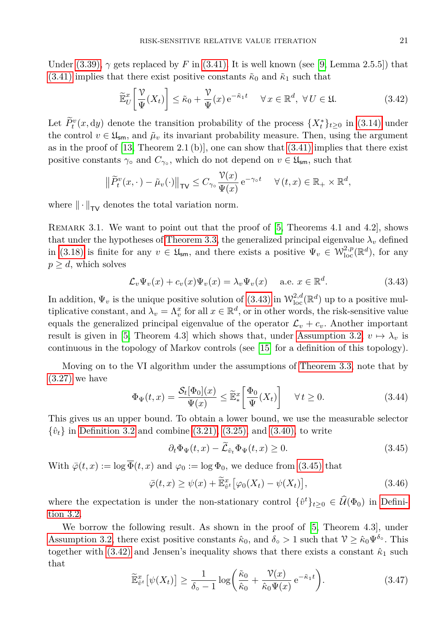Under  $(3.39)$ ,  $\gamma$  gets replaced by *F* in  $(3.41)$ . It is well known (see [\[9,](#page-14-10) Lemma 2.5.5]) that [\(3.41\)](#page-11-6) implies that there exist positive constants  $\tilde{\kappa}_0$  and  $\tilde{\kappa}_1$  such that

<span id="page-12-2"></span>
$$
\widetilde{\mathbb{E}}_U^x \left[ \frac{\mathcal{V}}{\Psi}(X_t) \right] \le \tilde{\kappa}_0 + \frac{\mathcal{V}}{\Psi}(x) e^{-\tilde{\kappa}_1 t} \quad \forall \, x \in \mathbb{R}^d, \ \forall \, U \in \mathfrak{U}. \tag{3.42}
$$

Let  $\tilde{P}_t^v(x, dy)$  denote the transition probability of the process  $\{X_t^*\}_{t\geq 0}$  in [\(3.14\)](#page-6-0) under the control  $v \in \mathfrak{U}_{\mathsf{sm}}$ , and  $\tilde{\mu}_v$  its invariant probability measure. Then, using the argument as in the proof of  $[13,$  Theorem 2.1 (b), one can show that  $(3.41)$  implies that there exist positive constants  $\gamma \circ$  and  $C_{\gamma \circ}$ , which do not depend on  $v \in \mathfrak{U}_{\mathsf{sm}}$ , such that

$$
\left\|\widetilde{P}_t^v(x,\cdot)-\widetilde{\mu}_v(\cdot)\right\|_{\mathsf{TV}} \leq C_{\gamma_\circ} \frac{\mathcal{V}(x)}{\Psi(x)} e^{-\gamma_\circ t} \quad \forall (t,x) \in \mathbb{R}_+ \times \mathbb{R}^d,
$$

where  $\|\cdot\|_{TV}$  denotes the total variation norm.

REMARK 3.1. We want to point out that the proof of [\[5,](#page-14-8) Theorems 4.1 and 4.2], shows that under the hypotheses of [Theorem 3.3,](#page-11-3) the generalized principal eigenvalue  $\lambda_v$  defined in [\(3.18\)](#page-6-4) is finite for any  $v \in \mathfrak{U}_{\mathsf{sm}}$ , and there exists a positive  $\Psi_v \in \mathcal{W}_{\text{loc}}^{2,p}(\mathbb{R}^d)$ , for any  $p \geq d$ , which solves

<span id="page-12-0"></span>
$$
\mathcal{L}_v \Psi_v(x) + c_v(x) \Psi_v(x) = \lambda_v \Psi_v(x) \quad \text{a.e. } x \in \mathbb{R}^d.
$$
 (3.43)

In addition,  $\Psi_v$  is the unique positive solution of [\(3.43\)](#page-12-0) in  $\mathcal{W}^{2,d}_{loc}(\mathbb{R}^d)$  up to a positive multiplicative constant, and  $\lambda_v = \Lambda_v^x$  for all  $x \in \mathbb{R}^d$ , or in other words, the risk-sensitive value equals the generalized principal eigenvalue of the operator  $\mathcal{L}_v + c_v$ . Another important result is given in [\[5,](#page-14-8) Theorem 4.3] which shows that, under [Assumption 3.2,](#page-11-0)  $v \mapsto \lambda_v$  is continuous in the topology of Markov controls (see [\[15\]](#page-14-12) for a definition of this topology).

Moving on to the VI algorithm under the assumptions of [Theorem 3.3,](#page-11-3) note that by [\(3.27\)](#page-9-2) we have

<span id="page-12-5"></span>
$$
\Phi_{\Psi}(t,x) = \frac{\mathcal{S}_t[\Phi_0](x)}{\Psi(x)} \le \widetilde{\mathbb{E}}_*^x \left[ \frac{\Phi_0}{\Psi}(X_t) \right] \quad \forall \, t \ge 0. \tag{3.44}
$$

This gives us an upper bound. To obtain a lower bound, we use the measurable selector  $\{\hat{v}_t\}$  in [Definition 3.2](#page-7-3) and combine [\(3.21\),](#page-7-1) [\(3.25\),](#page-8-2) and [\(3.40\),](#page-11-5) to write

<span id="page-12-3"></span><span id="page-12-1"></span>
$$
\partial_t \Phi_{\Psi}(t,x) - \tilde{\mathcal{L}}_{\hat{v}_t} \Phi_{\Psi}(t,x) \ge 0. \tag{3.45}
$$

With  $\bar{\varphi}(t, x) := \log \bar{\Phi}(t, x)$  and  $\varphi_0 := \log \Phi_0$ , we deduce from [\(3.45\)](#page-12-1) that

$$
\bar{\varphi}(t,x) \ge \psi(x) + \widetilde{\mathbb{E}}_{\hat{v}^t}^x \big[ \varphi_0(X_t) - \psi(X_t) \big],\tag{3.46}
$$

where the expectation is under the non-stationary control  $\{\hat{v}^t\}_{t\geq 0} \in \hat{\mathcal{U}}(\Phi_0)$  in [Defini](#page-7-3)[tion 3.2.](#page-7-3)

<span id="page-12-4"></span>We borrow the following result. As shown in the proof of  $[5,$  Theorem 4.3], under [Assumption 3.2,](#page-11-0) there exist positive constants  $\hat{\kappa}_0$ , and  $\delta_{\rm o} > 1$  such that  $\mathcal{V} \geq \hat{\kappa}_0 \Psi^{\delta_{\rm o}}$ . This together with  $(3.42)$  and Jensen's inequality shows that there exists a constant  $\hat{\kappa}_1$  such that

$$
\widetilde{\mathbb{E}}_{\hat{v}^t}^x \left[ \psi(X_t) \right] \ge \frac{1}{\delta_o - 1} \log \left( \frac{\tilde{\kappa}_0}{\hat{\kappa}_0} + \frac{\mathcal{V}(x)}{\hat{\kappa}_0 \Psi(x)} e^{-\tilde{\kappa}_1 t} \right). \tag{3.47}
$$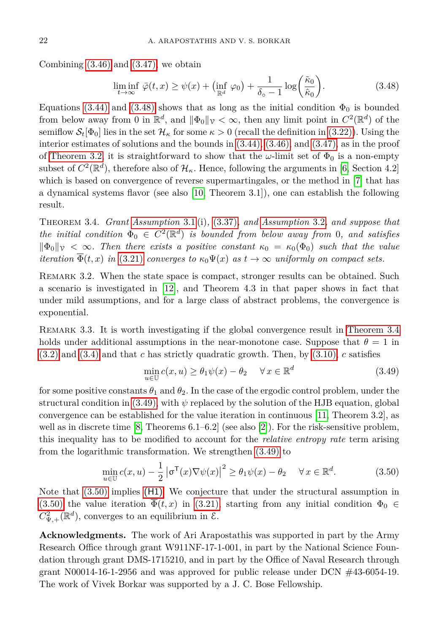Combining  $(3.46)$  and  $(3.47)$ , we obtain

<span id="page-13-0"></span>
$$
\liminf_{t \to \infty} \,\overline{\varphi}(t,x) \ge \psi(x) + \left(\inf_{\mathbb{R}^d} \,\varphi_0\right) + \frac{1}{\delta_o - 1} \log\left(\frac{\tilde{\kappa}_0}{\hat{\kappa}_0}\right). \tag{3.48}
$$

Equations [\(3.44\)](#page-12-5) and [\(3.48\)](#page-13-0) shows that as long as the initial condition  $\Phi_0$  is bounded from below away from 0 in  $\mathbb{R}^d$ , and  $\|\Phi_0\|_{\mathcal{V}} < \infty$ , then any limit point in  $C^2(\mathbb{R}^d)$  of the semiflow  $\mathcal{S}_t[\Phi_0]$  lies in the set  $\mathcal{H}_\kappa$  for some  $\kappa > 0$  (recall the definition in [\(3.22\)\)](#page-8-3). Using the interior estimates of solutions and the bounds in [\(3.44\),](#page-12-5) [\(3.46\),](#page-12-3) and [\(3.47\),](#page-12-4) as in the proof of [Theorem 3.2,](#page-9-7) it is straightforward to show that the  $\omega$ -limit set of  $\Phi_0$  is a non-empty subset of  $C^2(\mathbb{R}^d)$ , therefore also of  $\mathcal{H}_{\kappa}$ . Hence, following the arguments in [\[6,](#page-14-13) Section 4.2] which is based on convergence of reverse supermartingales, or the method in [\[7\]](#page-14-14) that has a dynamical systems flavor (see also [\[10,](#page-14-15) Theorem 3.1]), one can establish the following result.

<span id="page-13-1"></span>Theorem 3.4. *Grant [Assumption](#page-3-2)* 3.1 (i)*,* [\(3.37\)](#page-11-2)*, and [Assumption](#page-11-0)* 3.2*, and suppose that the initial condition*  $\Phi_0 \in C^2(\mathbb{R}^d)$  *is bounded from below away from* 0*, and satisfies*  $\|\Phi_0\|_{\mathcal{V}} < \infty$ . Then there exists a positive constant  $\kappa_0 = \kappa_0(\Phi_0)$  such that the value *iteration*  $\overline{\Phi}(t, x)$  *in* [\(3.21\)](#page-7-1) *converges to*  $\kappa_0 \Psi(x)$  *as*  $t \to \infty$  *uniformly on compact sets.* 

REMARK 3.2. When the state space is compact, stronger results can be obtained. Such a scenario is investigated in [\[12\]](#page-14-16), and Theorem 4.3 in that paper shows in fact that under mild assumptions, and for a large class of abstract problems, the convergence is exponential.

Remark 3.3. It is worth investigating if the global convergence result in [Theorem 3.4](#page-13-1) holds under additional assumptions in the near-monotone case. Suppose that  $\theta = 1$  in [\(3.2\)](#page-4-1) and [\(3.4\)](#page-4-0) and that *c* has strictly quadratic growth. Then, by [\(3.10\),](#page-5-2) *c* satisfies

<span id="page-13-3"></span><span id="page-13-2"></span>
$$
\min_{u \in \mathbb{U}} c(x, u) \ge \theta_1 \psi(x) - \theta_2 \quad \forall x \in \mathbb{R}^d \tag{3.49}
$$

for some positive constants  $\theta_1$  and  $\theta_2$ . In the case of the ergodic control problem, under the structural condition in [\(3.49\),](#page-13-2) with  $\psi$  replaced by the solution of the HJB equation, global convergence can be established for the value iteration in continuous [\[11,](#page-14-9) Theorem 3.2], as well as in discrete time [\[8,](#page-14-17) Theorems 6.1–6.2] (see also [\[2\]](#page-14-18)). For the risk-sensitive problem, this inequality has to be modified to account for the *relative entropy rate* term arising from the logarithmic transformation. We strengthen [\(3.49\)](#page-13-2) to

$$
\min_{u \in \mathbb{U}} c(x, u) - \frac{1}{2} |\sigma^{\mathsf{T}}(x)\nabla\psi(x)|^2 \ge \theta_1 \psi(x) - \theta_2 \quad \forall x \in \mathbb{R}^d.
$$
 (3.50)

Note that [\(3.50\)](#page-13-3) implies [\(H1\)](#page-9-0). We conjecture that under the structural assumption in [\(3.50\)](#page-13-3) the value iteration  $\Phi(t, x)$  in [\(3.21\),](#page-7-1) starting from any initial condition  $\Phi_0 \in$  $C_{\Psi,+}^2(\mathbb{R}^d)$ , converges to an equilibrium in  $\mathcal{E}$ .

**Acknowledgments.** The work of Ari Arapostathis was supported in part by the Army Research Office through grant W911NF-17-1-001, in part by the National Science Foundation through grant DMS-1715210, and in part by the Office of Naval Research through grant N00014-16-1-2956 and was approved for public release under DCN  $\#43$ -6054-19. The work of Vivek Borkar was supported by a J. C. Bose Fellowship.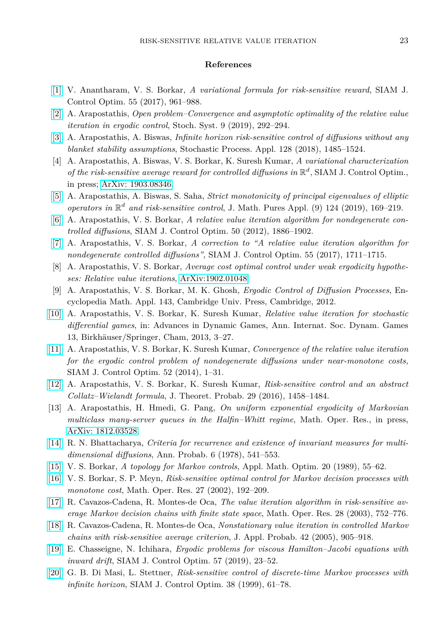#### **References**

- <span id="page-14-0"></span>[\[1\]](http://dx.doi.org/10.1137/151002630) V. Anantharam, V. S. Borkar, *A variational formula for risk-sensitive reward*, SIAM J. Control Optim. 55 (2017), 961–988.
- <span id="page-14-18"></span>[\[2\]](http://dx.doi.org/10.1287/stsy.2019.0040) A. Arapostathis, *Open problem–Convergence and asymptotic optimality of the relative value iteration in ergodic control*, Stoch. Syst. 9 (2019), 292–294.
- <span id="page-14-5"></span>[\[3\]](http://dx.doi.org/10.1016/j.spa.2017.08.001) A. Arapostathis, A. Biswas, *Infinite horizon risk-sensitive control of diffusions without any blanket stability assumptions*, Stochastic Process. Appl. 128 (2018), 1485–1524.
- <span id="page-14-6"></span>[4] A. Arapostathis, A. Biswas, V. S. Borkar, K. Suresh Kumar, *A variational characterization* of the risk-sensitive average reward for controlled diffusions in  $\mathbb{R}^d$ , SIAM J. Control Optim., in press; [ArXiv: 1903.08346.](http://arxiv.org/abs/1903.08346)
- <span id="page-14-8"></span>[\[5\]](http://dx.doi.org/10.1016/j.matpur.2018.05.008) A. Arapostathis, A. Biswas, S. Saha, *Strict monotonicity of principal eigenvalues of elliptic operators in* R *d and risk-sensitive control*, J. Math. Pures Appl. (9) 124 (2019), 169–219.
- <span id="page-14-13"></span>[\[6\]](http://dx.doi.org/10.1137/110850529) A. Arapostathis, V. S. Borkar, *A relative value iteration algorithm for nondegenerate controlled diffusions*, SIAM J. Control Optim. 50 (2012), 1886–1902.
- <span id="page-14-14"></span>[\[7\]](http://dx.doi.org/10.1137/16M110650X) A. Arapostathis, V. S. Borkar, *A correction to "A relative value iteration algorithm for nondegenerate controlled diffusions"*, SIAM J. Control Optim. 55 (2017), 1711–1715.
- <span id="page-14-17"></span>[8] A. Arapostathis, V. S. Borkar, *Average cost optimal control under weak ergodicity hypotheses: Relative value iterations*, [ArXiv:1902.01048.](http://arxiv.org/abs/1902.01048)
- <span id="page-14-10"></span>[9] A. Arapostathis, V. S. Borkar, M. K. Ghosh, *Ergodic Control of Diffusion Processes*, Encyclopedia Math. Appl. 143, Cambridge Univ. Press, Cambridge, 2012.
- <span id="page-14-15"></span>[\[10\]](http://dx.doi.org/10.1007/978-3-319-02690-9_1) A. Arapostathis, V. S. Borkar, K. Suresh Kumar, *Relative value iteration for stochastic differential games*, in: Advances in Dynamic Games, Ann. Internat. Soc. Dynam. Games 13, Birkhäuser/Springer, Cham, 2013, 3-27.
- <span id="page-14-9"></span>[\[11\]](http://dx.doi.org/10.1137/130912918) A. Arapostathis, V. S. Borkar, K. Suresh Kumar, *Convergence of the relative value iteration for the ergodic control problem of nondegenerate diffusions under near-monotone costs*, SIAM J. Control Optim. 52 (2014), 1–31.
- <span id="page-14-16"></span>[\[12\]](http://dx.doi.org/10.1007/s10959-015-0616-x) A. Arapostathis, V. S. Borkar, K. Suresh Kumar, *Risk-sensitive control and an abstract Collatz–Wielandt formula*, J. Theoret. Probab. 29 (2016), 1458–1484.
- <span id="page-14-11"></span>[13] A. Arapostathis, H. Hmedi, G. Pang, *On uniform exponential ergodicity of Markovian multiclass many-server queues in the Halfin–Whitt regime*, Math. Oper. Res., in press, [ArXiv: 1812.03528.](http://arxiv.org/abs/1812.03528)
- <span id="page-14-7"></span>[\[14\]](http://dx.doi.org/10.1214/aop/1176995476) R. N. Bhattacharya, *Criteria for recurrence and existence of invariant measures for multidimensional diffusions*, Ann. Probab. 6 (1978), 541–553.
- <span id="page-14-12"></span>[\[15\]](http://dx.doi.org/10.1007/BF01447645) V. S. Borkar, *A topology for Markov controls*, Appl. Math. Optim. 20 (1989), 55–62.
- <span id="page-14-2"></span>[\[16\]](http://dx.doi.org/10.1287/moor.27.1.192.334) V. S. Borkar, S. P. Meyn, *Risk-sensitive optimal control for Markov decision processes with monotone cost*, Math. Oper. Res. 27 (2002), 192–209.
- [\[17\]](http://dx.doi.org/10.1287/moor.28.4.752.20515) R. Cavazos-Cadena, R. Montes-de Oca, *The value iteration algorithm in risk-sensitive average Markov decision chains with finite state space*, Math. Oper. Res. 28 (2003), 752–776.
- <span id="page-14-3"></span>[\[18\]](http://dx.doi.org/10.1239/jap/1134587805) R. Cavazos-Cadena, R. Montes-de Oca, *Nonstationary value iteration in controlled Markov chains with risk-sensitive average criterion*, J. Appl. Probab. 42 (2005), 905–918.
- <span id="page-14-4"></span>[\[19\]](http://dx.doi.org/10.1137/18M1179328) E. Chasseigne, N. Ichihara, *Ergodic problems for viscous Hamilton–Jacobi equations with inward drift*, SIAM J. Control Optim. 57 (2019), 23–52.
- <span id="page-14-1"></span>[\[20\]](http://dx.doi.org/10.1137/S0363012997320614) G. B. Di Masi, L. Stettner, *Risk-sensitive control of discrete-time Markov processes with infinite horizon*, SIAM J. Control Optim. 38 (1999), 61–78.